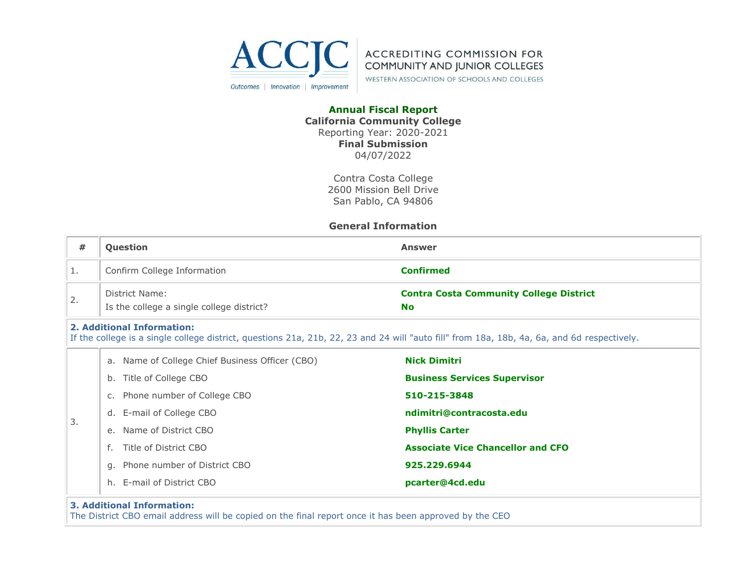



WESTERN ASSOCIATION OF SCHOOLS AND COLLEGES

#### **Annual Fiscal Report California Community College** Reporting Year: 2020-2021 **Final Submission** 04/07/2022

Contra Costa College 2600 Mission Bell Drive San Pablo, CA 94806

#### **General Information**

| #  | Question                                                                                                                                                                  | <b>Answer</b>                                               |  |  |  |  |
|----|---------------------------------------------------------------------------------------------------------------------------------------------------------------------------|-------------------------------------------------------------|--|--|--|--|
| 1. | Confirm College Information                                                                                                                                               | <b>Confirmed</b>                                            |  |  |  |  |
| 2. | District Name:<br>Is the college a single college district?                                                                                                               | <b>Contra Costa Community College District</b><br><b>No</b> |  |  |  |  |
|    | 2. Additional Information:<br>If the college is a single college district, questions 21a, 21b, 22, 23 and 24 will "auto fill" from 18a, 18b, 4a, 6a, and 6d respectively. |                                                             |  |  |  |  |
|    | a. Name of College Chief Business Officer (CBO)                                                                                                                           | <b>Nick Dimitri</b>                                         |  |  |  |  |
|    | b. Title of College CBO                                                                                                                                                   | <b>Business Services Supervisor</b>                         |  |  |  |  |
|    | Phone number of College CBO<br>$C_{\bullet}$                                                                                                                              | 510-215-3848                                                |  |  |  |  |
|    | d. E-mail of College CBO                                                                                                                                                  | ndimitri@contracosta.edu                                    |  |  |  |  |
| 3. | e. Name of District CBO                                                                                                                                                   | <b>Phyllis Carter</b>                                       |  |  |  |  |
|    | Title of District CBO<br>f.                                                                                                                                               | <b>Associate Vice Chancellor and CFO</b>                    |  |  |  |  |
|    | Phone number of District CBO<br>q.                                                                                                                                        | 925.229.6944                                                |  |  |  |  |
|    | h. E-mail of District CBO                                                                                                                                                 | pcarter@4cd.edu                                             |  |  |  |  |
|    | <b>3. Additional Information:</b>                                                                                                                                         |                                                             |  |  |  |  |

#### The District CBO email address will be copied on the final report once it has been approved by the CEO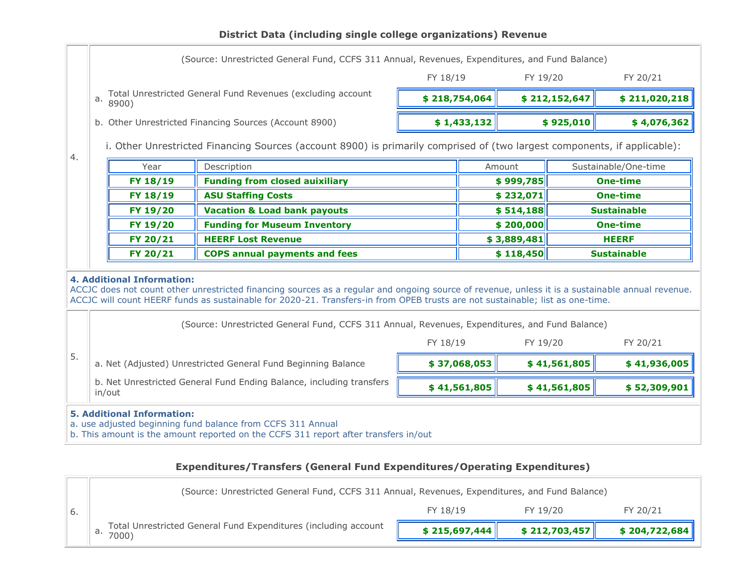## **District Data (including single college organizations) Revenue**

|                                                                                                                                 | (Source: Unrestricted General Fund, CCFS 311 Annual, Revenues, Expenditures, and Fund Balance)                                                                                                                                                                                                                                                                                                                           |                                                                      |                                                                                                                                                    |                      |                                       |              |                                                       |                    |  |
|---------------------------------------------------------------------------------------------------------------------------------|--------------------------------------------------------------------------------------------------------------------------------------------------------------------------------------------------------------------------------------------------------------------------------------------------------------------------------------------------------------------------------------------------------------------------|----------------------------------------------------------------------|----------------------------------------------------------------------------------------------------------------------------------------------------|----------------------|---------------------------------------|--------------|-------------------------------------------------------|--------------------|--|
|                                                                                                                                 |                                                                                                                                                                                                                                                                                                                                                                                                                          |                                                                      |                                                                                                                                                    | FY 18/19             | FY 19/20                              |              |                                                       | FY 20/21           |  |
|                                                                                                                                 | a.                                                                                                                                                                                                                                                                                                                                                                                                                       | Total Unrestricted General Fund Revenues (excluding account<br>8900) |                                                                                                                                                    |                      | \$218,754,064                         |              | \$212,152,647                                         | \$211,020,218      |  |
|                                                                                                                                 |                                                                                                                                                                                                                                                                                                                                                                                                                          |                                                                      | b. Other Unrestricted Financing Sources (Account 8900)                                                                                             |                      | \$1,433,132                           |              | \$925,010                                             | \$4,076,362        |  |
| i. Other Unrestricted Financing Sources (account 8900) is primarily comprised of (two largest components, if applicable):<br>4. |                                                                                                                                                                                                                                                                                                                                                                                                                          |                                                                      |                                                                                                                                                    |                      |                                       |              |                                                       |                    |  |
| Description<br>Year<br>Amount                                                                                                   |                                                                                                                                                                                                                                                                                                                                                                                                                          |                                                                      |                                                                                                                                                    | Sustainable/One-time |                                       |              |                                                       |                    |  |
|                                                                                                                                 |                                                                                                                                                                                                                                                                                                                                                                                                                          | FY 18/19                                                             | <b>Funding from closed auixiliary</b>                                                                                                              |                      |                                       | \$999,785    |                                                       | <b>One-time</b>    |  |
|                                                                                                                                 |                                                                                                                                                                                                                                                                                                                                                                                                                          | FY 18/19                                                             | <b>ASU Staffing Costs</b>                                                                                                                          |                      |                                       | \$232,071    |                                                       | <b>One-time</b>    |  |
|                                                                                                                                 |                                                                                                                                                                                                                                                                                                                                                                                                                          | FY 19/20                                                             | <b>Vacation &amp; Load bank payouts</b>                                                                                                            |                      | \$514,188<br>\$200,000<br>\$3,889,481 |              | <b>Sustainable</b><br><b>One-time</b><br><b>HEERF</b> |                    |  |
|                                                                                                                                 |                                                                                                                                                                                                                                                                                                                                                                                                                          | FY 19/20                                                             | <b>Funding for Museum Inventory</b>                                                                                                                |                      |                                       |              |                                                       |                    |  |
|                                                                                                                                 |                                                                                                                                                                                                                                                                                                                                                                                                                          | FY 20/21                                                             | <b>HEERF Lost Revenue</b>                                                                                                                          |                      |                                       |              |                                                       |                    |  |
|                                                                                                                                 |                                                                                                                                                                                                                                                                                                                                                                                                                          | FY 20/21                                                             | <b>COPS annual payments and fees</b>                                                                                                               |                      |                                       | \$118,450    |                                                       | <b>Sustainable</b> |  |
|                                                                                                                                 | <b>4. Additional Information:</b><br>ACCJC does not count other unrestricted financing sources as a regular and ongoing source of revenue, unless it is a sustainable annual revenue.<br>ACCJC will count HEERF funds as sustainable for 2020-21. Transfers-in from OPEB trusts are not sustainable; list as one-time.<br>(Source: Unrestricted General Fund, CCFS 311 Annual, Revenues, Expenditures, and Fund Balance) |                                                                      |                                                                                                                                                    |                      |                                       |              |                                                       |                    |  |
|                                                                                                                                 |                                                                                                                                                                                                                                                                                                                                                                                                                          |                                                                      |                                                                                                                                                    | FY 18/19             |                                       | FY 19/20     |                                                       | FY 20/21           |  |
| 5.                                                                                                                              |                                                                                                                                                                                                                                                                                                                                                                                                                          |                                                                      | a. Net (Adjusted) Unrestricted General Fund Beginning Balance                                                                                      |                      | \$37,068,053                          |              | \$41,561,805                                          | \$41,936,005       |  |
| b. Net Unrestricted General Fund Ending Balance, including transfers<br>\$41,561,805<br>in/out                                  |                                                                                                                                                                                                                                                                                                                                                                                                                          |                                                                      |                                                                                                                                                    |                      |                                       | \$41,561,805 | \$52,309,901                                          |                    |  |
|                                                                                                                                 |                                                                                                                                                                                                                                                                                                                                                                                                                          | <b>5. Additional Information:</b>                                    | a. use adjusted beginning fund balance from CCFS 311 Annual<br>b. This amount is the amount reported on the CCFS 311 report after transfers in/out |                      |                                       |              |                                                       |                    |  |

## **Expenditures/Transfers (General Fund Expenditures/Operating Expenditures)**

| (Source: Unrestricted General Fund, CCFS 311 Annual, Revenues, Expenditures, and Fund Balance) |               |               |               |  |  |  |
|------------------------------------------------------------------------------------------------|---------------|---------------|---------------|--|--|--|
|                                                                                                | FY 18/19      | FY 19/20      | FY 20/21      |  |  |  |
| Total Unrestricted General Fund Expenditures (including account<br>7000)                       | \$215,697,444 | \$212,703,457 | \$204,722,684 |  |  |  |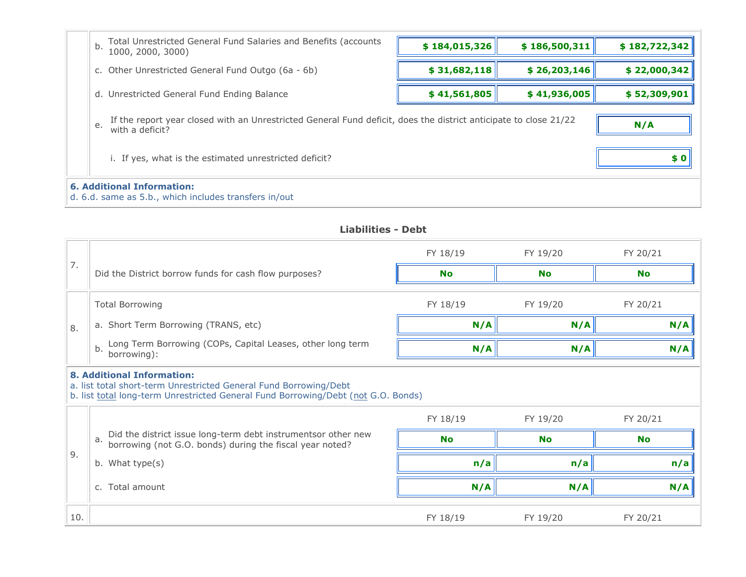| Total Unrestricted General Fund Salaries and Benefits (accounts<br>b.<br>1000, 2000, 3000)                                                | \$184,015,326 | \$186,500,311 | \$182,722,342 |  |  |
|-------------------------------------------------------------------------------------------------------------------------------------------|---------------|---------------|---------------|--|--|
| c. Other Unrestricted General Fund Outgo (6a - 6b)                                                                                        | \$31,682,118  | \$26,203,146  | \$22,000,342  |  |  |
| d. Unrestricted General Fund Ending Balance                                                                                               | \$41,561,805  | \$41,936,005  | \$52,309,901  |  |  |
| If the report year closed with an Unrestricted General Fund deficit, does the district anticipate to close 21/22<br>e.<br>with a deficit? |               |               | N/A           |  |  |
| \$0<br>i. If yes, what is the estimated unrestricted deficit?                                                                             |               |               |               |  |  |
| <b>6. Additional Information:</b><br>d. 6.d. same as 5.b., which includes transfers in/out                                                |               |               |               |  |  |

**Liabilities - Debt**

|                                                                                                                                                                                             |                                                                                                                                 | FY 18/19  | FY 19/20  | FY 20/21  |  |  |
|---------------------------------------------------------------------------------------------------------------------------------------------------------------------------------------------|---------------------------------------------------------------------------------------------------------------------------------|-----------|-----------|-----------|--|--|
| 7.                                                                                                                                                                                          | Did the District borrow funds for cash flow purposes?                                                                           | <b>No</b> | <b>No</b> | No        |  |  |
|                                                                                                                                                                                             | <b>Total Borrowing</b>                                                                                                          | FY 18/19  | FY 19/20  | FY 20/21  |  |  |
| 8.                                                                                                                                                                                          | a. Short Term Borrowing (TRANS, etc)                                                                                            | N/A       | N/A       | N/A       |  |  |
|                                                                                                                                                                                             | Long Term Borrowing (COPs, Capital Leases, other long term<br>b.<br>borrowing):                                                 | N/A       | N/A       | N/A       |  |  |
| <b>8. Additional Information:</b><br>a. list total short-term Unrestricted General Fund Borrowing/Debt<br>b. list total long-term Unrestricted General Fund Borrowing/Debt (not G.O. Bonds) |                                                                                                                                 |           |           |           |  |  |
|                                                                                                                                                                                             |                                                                                                                                 | FY 18/19  | FY 19/20  | FY 20/21  |  |  |
|                                                                                                                                                                                             | Did the district issue long-term debt instrumentsor other new<br>a.<br>borrowing (not G.O. bonds) during the fiscal year noted? | <b>No</b> | <b>No</b> | <b>No</b> |  |  |
|                                                                                                                                                                                             | b. What type(s)                                                                                                                 | n/a       | n/a       | n/a       |  |  |
| 9.                                                                                                                                                                                          | c. Total amount                                                                                                                 | N/A       | N/A       | N/A       |  |  |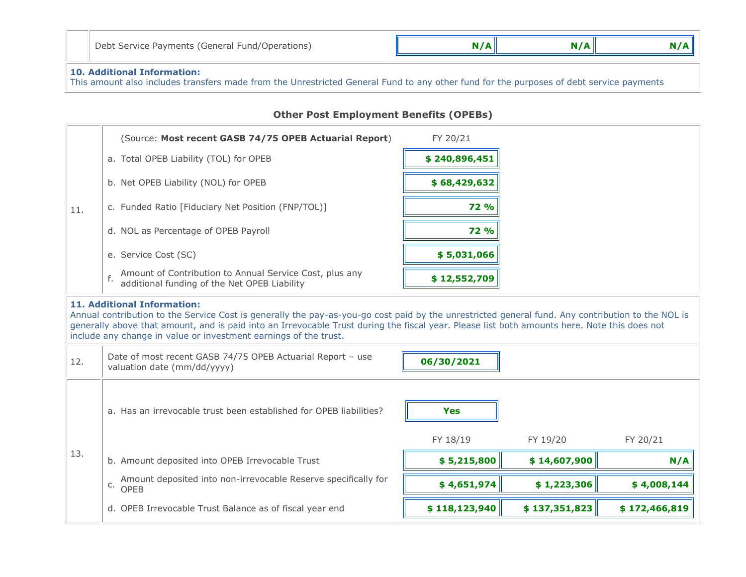| Debt Service Payments (General Fund/Operations) | N/A | N/A |  |
|-------------------------------------------------|-----|-----|--|
|-------------------------------------------------|-----|-----|--|

## **10. Additional Information:**

This amount also includes transfers made from the Unrestricted General Fund to any other fund for the purposes of debt service payments

### **Other Post Employment Benefits (OPEBs)**

|     | (Source: Most recent GASB 74/75 OPEB Actuarial Report)                                                                                                                                                                                                                                                                                                                                                      | FY 20/21               |               |               |  |  |
|-----|-------------------------------------------------------------------------------------------------------------------------------------------------------------------------------------------------------------------------------------------------------------------------------------------------------------------------------------------------------------------------------------------------------------|------------------------|---------------|---------------|--|--|
|     | a. Total OPEB Liability (TOL) for OPEB                                                                                                                                                                                                                                                                                                                                                                      | \$240,896,451          |               |               |  |  |
|     | b. Net OPEB Liability (NOL) for OPEB                                                                                                                                                                                                                                                                                                                                                                        | \$68,429,632           |               |               |  |  |
| 11. | c. Funded Ratio [Fiduciary Net Position (FNP/TOL)]                                                                                                                                                                                                                                                                                                                                                          | <b>72 %</b>            |               |               |  |  |
|     | d. NOL as Percentage of OPEB Payroll                                                                                                                                                                                                                                                                                                                                                                        | <b>72 %</b>            |               |               |  |  |
|     | e. Service Cost (SC)                                                                                                                                                                                                                                                                                                                                                                                        | \$5,031,066            |               |               |  |  |
|     | Amount of Contribution to Annual Service Cost, plus any<br>f.<br>additional funding of the Net OPEB Liability                                                                                                                                                                                                                                                                                               | \$12,552,709           |               |               |  |  |
|     | <b>11. Additional Information:</b><br>Annual contribution to the Service Cost is generally the pay-as-you-go cost paid by the unrestricted general fund. Any contribution to the NOL is<br>generally above that amount, and is paid into an Irrevocable Trust during the fiscal year. Please list both amounts here. Note this does not<br>include any change in value or investment earnings of the trust. |                        |               |               |  |  |
| 12. | Date of most recent GASB 74/75 OPEB Actuarial Report - use<br>valuation date (mm/dd/yyyy)                                                                                                                                                                                                                                                                                                                   | 06/30/2021             |               |               |  |  |
|     | a. Has an irrevocable trust been established for OPEB liabilities?                                                                                                                                                                                                                                                                                                                                          | <b>Yes</b><br>FY 18/19 | FY 19/20      | FY 20/21      |  |  |
| 13. | b. Amount deposited into OPEB Irrevocable Trust                                                                                                                                                                                                                                                                                                                                                             | \$5,215,800            | \$14,607,900  | N/A           |  |  |
|     |                                                                                                                                                                                                                                                                                                                                                                                                             |                        |               |               |  |  |
|     | Amount deposited into non-irrevocable Reserve specifically for<br>C.<br><b>OPEB</b>                                                                                                                                                                                                                                                                                                                         | \$4,651,974            | \$1,223,306   | \$4,008,144   |  |  |
|     | d. OPEB Irrevocable Trust Balance as of fiscal year end                                                                                                                                                                                                                                                                                                                                                     | \$118,123,940          | \$137,351,823 | \$172,466,819 |  |  |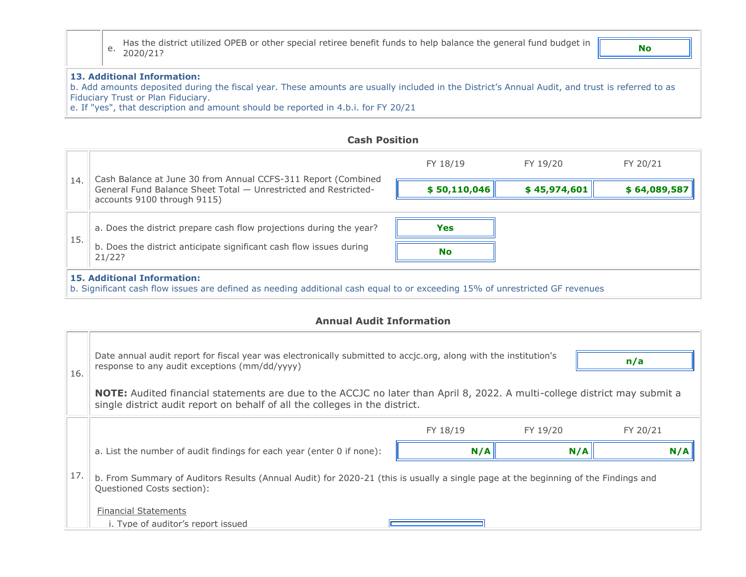e. Has the district utilized OPEB or other special retiree benefit funds to help balance the general fund budget in 2020/21? **No**

#### **13. Additional Information:**

b. Add amounts deposited during the fiscal year. These amounts are usually included in the District's Annual Audit, and trust is referred to as Fiduciary Trust or Plan Fiduciary.

e. If "yes", that description and amount should be reported in 4.b.i. for FY 20/21

## **Cash Position**

|     |                                                                                                                                                                                           | FY 18/19     | FY 19/20     | FY 20/21     |  |  |
|-----|-------------------------------------------------------------------------------------------------------------------------------------------------------------------------------------------|--------------|--------------|--------------|--|--|
| 14. | Cash Balance at June 30 from Annual CCFS-311 Report (Combined<br>General Fund Balance Sheet Total - Unrestricted and Restricted-<br>accounts 9100 through 9115)                           | \$50,110,046 | \$45,974,601 | \$64,089,587 |  |  |
| 15. | a. Does the district prepare cash flow projections during the year?<br>b. Does the district anticipate significant cash flow issues during                                                | <b>Yes</b>   |              |              |  |  |
|     | <b>No</b><br>21/22?<br><b>15. Additional Information:</b><br>b. Significant cash flow issues are defined as needing additional cash equal to or exceeding 15% of unrestricted GF revenues |              |              |              |  |  |

#### **Annual Audit Information**

| 16. | Date annual audit report for fiscal year was electronically submitted to accjc.org, along with the institution's<br>n/a<br>response to any audit exceptions (mm/dd/yyyy)                                         |          |          |          |  |  |  |
|-----|------------------------------------------------------------------------------------------------------------------------------------------------------------------------------------------------------------------|----------|----------|----------|--|--|--|
|     | <b>NOTE:</b> Audited financial statements are due to the ACCJC no later than April 8, 2022. A multi-college district may submit a<br>single district audit report on behalf of all the colleges in the district. |          |          |          |  |  |  |
|     |                                                                                                                                                                                                                  | FY 18/19 | FY 19/20 | FY 20/21 |  |  |  |
|     | a. List the number of audit findings for each year (enter 0 if none):                                                                                                                                            | N/A      | N/A      | N/A      |  |  |  |
| 17. | b. From Summary of Auditors Results (Annual Audit) for 2020-21 (this is usually a single page at the beginning of the Findings and<br>Questioned Costs section):                                                 |          |          |          |  |  |  |
|     | <b>Financial Statements</b><br>i. Type of auditor's report issued                                                                                                                                                |          |          |          |  |  |  |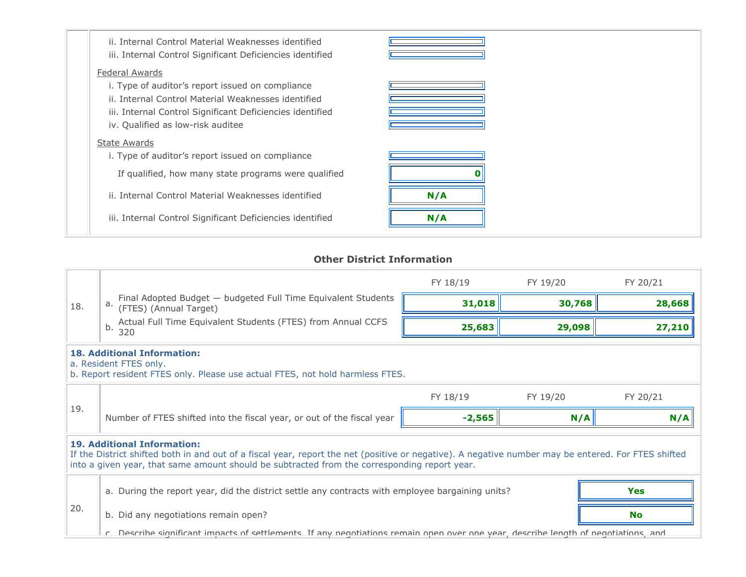| ii. Internal Control Material Weaknesses identified<br>iii. Internal Control Significant Deficiencies identified |     |  |
|------------------------------------------------------------------------------------------------------------------|-----|--|
| <b>Federal Awards</b>                                                                                            |     |  |
| i. Type of auditor's report issued on compliance                                                                 |     |  |
| ii. Internal Control Material Weaknesses identified                                                              |     |  |
| iii. Internal Control Significant Deficiencies identified                                                        |     |  |
| iv. Qualified as low-risk auditee                                                                                |     |  |
| <b>State Awards</b>                                                                                              |     |  |
| i. Type of auditor's report issued on compliance                                                                 |     |  |
| If qualified, how many state programs were qualified                                                             |     |  |
| ii. Internal Control Material Weaknesses identified                                                              | N/A |  |
| iii. Internal Control Significant Deficiencies identified                                                        | N/A |  |

## **Other District Information**

|                                                                                                                                                                                                                                                                                           |                                                                                                                                               | FY 18/19 | FY 19/20 | FY 20/21 |  |
|-------------------------------------------------------------------------------------------------------------------------------------------------------------------------------------------------------------------------------------------------------------------------------------------|-----------------------------------------------------------------------------------------------------------------------------------------------|----------|----------|----------|--|
| 18.                                                                                                                                                                                                                                                                                       | Final Adopted Budget - budgeted Full Time Equivalent Students (FTES) (Annual Target)<br>a.                                                    | 31,018   | 30,768   | 28,668   |  |
|                                                                                                                                                                                                                                                                                           | Actual Full Time Equivalent Students (FTES) from Annual CCFS<br>b.<br>320                                                                     | 25,683   | 29,098   | 27,210   |  |
|                                                                                                                                                                                                                                                                                           | <b>18. Additional Information:</b><br>a. Resident FTES only.<br>b. Report resident FTES only. Please use actual FTES, not hold harmless FTES. |          |          |          |  |
|                                                                                                                                                                                                                                                                                           |                                                                                                                                               | FY 18/19 | FY 19/20 | FY 20/21 |  |
| 19.                                                                                                                                                                                                                                                                                       | Number of FTES shifted into the fiscal year, or out of the fiscal year                                                                        | $-2,565$ | N/A      | N/A      |  |
| <b>19. Additional Information:</b><br>If the District shifted both in and out of a fiscal year, report the net (positive or negative). A negative number may be entered. For FTES shifted<br>into a given year, that same amount should be subtracted from the corresponding report year. |                                                                                                                                               |          |          |          |  |
|                                                                                                                                                                                                                                                                                           | a. During the report year, did the district settle any contracts with employee bargaining units?                                              |          |          | Yes      |  |
| 20.<br>b. Did any negotiations remain open?                                                                                                                                                                                                                                               |                                                                                                                                               | No       |          |          |  |
|                                                                                                                                                                                                                                                                                           | c. Describe significant impacts of settlements. If any negotiations remain open over one year, describe length of negotiations, and           |          |          |          |  |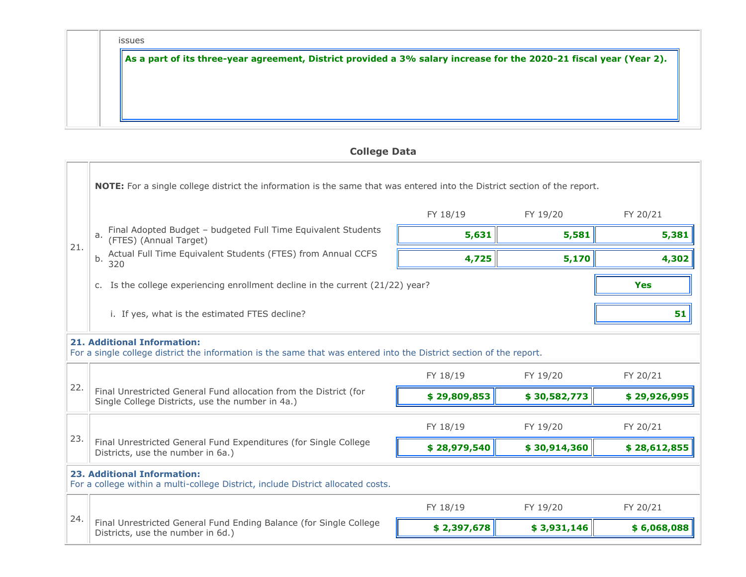| ۰.<br>w<br>۹ | ×<br>. . | ٠ | ۹<br>w |
|--------------|----------|---|--------|

**As a part of its three-year agreement, District provided a 3% salary increase for the 2020-21 fiscal year (Year 2).**

# **College Data**

| NOTE: For a single college district the information is the same that was entered into the District section of the report.                                 |                                                                                                                       |              |              |              |  |  |
|-----------------------------------------------------------------------------------------------------------------------------------------------------------|-----------------------------------------------------------------------------------------------------------------------|--------------|--------------|--------------|--|--|
| 21.                                                                                                                                                       |                                                                                                                       | FY 18/19     | FY 19/20     | FY 20/21     |  |  |
|                                                                                                                                                           | Final Adopted Budget - budgeted Full Time Equivalent Students<br>a.<br>(FTES) (Annual Target)                         | 5,631        | 5,581        | 5,381        |  |  |
|                                                                                                                                                           | Actual Full Time Equivalent Students (FTES) from Annual CCFS<br>b.<br>320                                             | 4,725        | 5,170        | 4,302        |  |  |
|                                                                                                                                                           | c. Is the college experiencing enrollment decline in the current (21/22) year?                                        | <b>Yes</b>   |              |              |  |  |
|                                                                                                                                                           | i. If yes, what is the estimated FTES decline?                                                                        |              |              | 51           |  |  |
| <b>21. Additional Information:</b><br>For a single college district the information is the same that was entered into the District section of the report. |                                                                                                                       |              |              |              |  |  |
| 22.                                                                                                                                                       |                                                                                                                       | FY 18/19     | FY 19/20     | FY 20/21     |  |  |
|                                                                                                                                                           | Final Unrestricted General Fund allocation from the District (for<br>Single College Districts, use the number in 4a.) | \$29,809,853 | \$30,582,773 | \$29,926,995 |  |  |
| 23.                                                                                                                                                       |                                                                                                                       | FY 18/19     | FY 19/20     | FY 20/21     |  |  |
|                                                                                                                                                           | Final Unrestricted General Fund Expenditures (for Single College<br>Districts, use the number in 6a.)                 | \$28,979,540 | \$30,914,360 | \$28,612,855 |  |  |
| <b>23. Additional Information:</b><br>For a college within a multi-college District, include District allocated costs.                                    |                                                                                                                       |              |              |              |  |  |
| 24.                                                                                                                                                       |                                                                                                                       | FY 18/19     | FY 19/20     | FY 20/21     |  |  |
|                                                                                                                                                           | Final Unrestricted General Fund Ending Balance (for Single College<br>Districts, use the number in 6d.)               | \$2,397,678  | \$3,931,146  | \$6,068,088  |  |  |